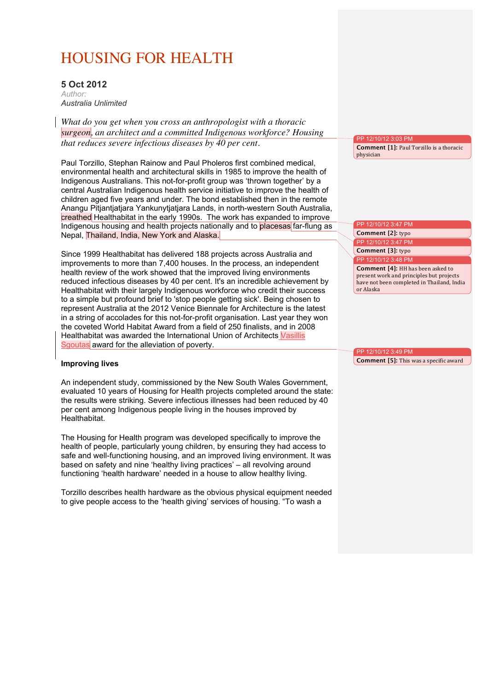# HOUSING FOR HEALTH

**5 Oct 2012** *Author: Australia Unlimited*

*What do you get when you cross an anthropologist with a thoracic surgeon, an architect and a committed Indigenous workforce? Housing that reduces severe infectious diseases by 40 per cent.*

Paul Torzillo, Stephan Rainow and Paul Pholeros first combined medical, environmental health and architectural skills in 1985 to improve the health of Indigenous Australians. This not-for-profit group was 'thrown together' by a central Australian Indigenous health service initiative to improve the health of children aged five years and under. The bond established then in the remote Anangu Pitjantjatjara Yankunytjatjara Lands, in north-western South Australia, creathed Healthabitat in the early 1990s. The work has expanded to improve Indigenous housing and health projects nationally and to placesas far-flung as Nepal, Thailand, India, New York and Alaska.

Since 1999 Healthabitat has delivered 188 projects across Australia and improvements to more than 7,400 houses. In the process, an independent health review of the work showed that the improved living environments reduced infectious diseases by 40 per cent. It's an incredible achievement by Healthabitat with their largely Indigenous workforce who credit their success to a simple but profound brief to 'stop people getting sick'. Being chosen to represent Australia at the 2012 Venice Biennale for Architecture is the latest in a string of accolades for this not-for-profit organisation. Last year they won the coveted World Habitat Award from a field of 250 finalists, and in 2008 Healthabitat was awarded the International Union of Architects Vasillis Sgoutas award for the alleviation of poverty.

## **Improving lives**

An independent study, commissioned by the New South Wales Government, evaluated 10 years of Housing for Health projects completed around the state: the results were striking. Severe infectious illnesses had been reduced by 40 per cent among Indigenous people living in the houses improved by Healthabitat.

The Housing for Health program was developed specifically to improve the health of people, particularly young children, by ensuring they had access to safe and well-functioning housing, and an improved living environment. It was based on safety and nine 'healthy living practices' – all revolving around functioning 'health hardware' needed in a house to allow healthy living.

Torzillo describes health hardware as the obvious physical equipment needed to give people access to the 'health giving' services of housing. "To wash a

# 12/10/12 3:03 PM

**Comment [1]: Paul Torzillo is a thoracic** physician

#### PP 12/10/12 3:47 PM

- **Comment [2]:** typo
- PP 12/10/12 3:47 PM
- **Comment [3]:** typo

PP 12/10/12 3:48 PM

**Comment** [4]: HH has been asked to present work and principles but projects have not been completed in Thailand, India or Alaska

### PP 12/10/12 3:49 PM **Comment [5]:** This was a specific award